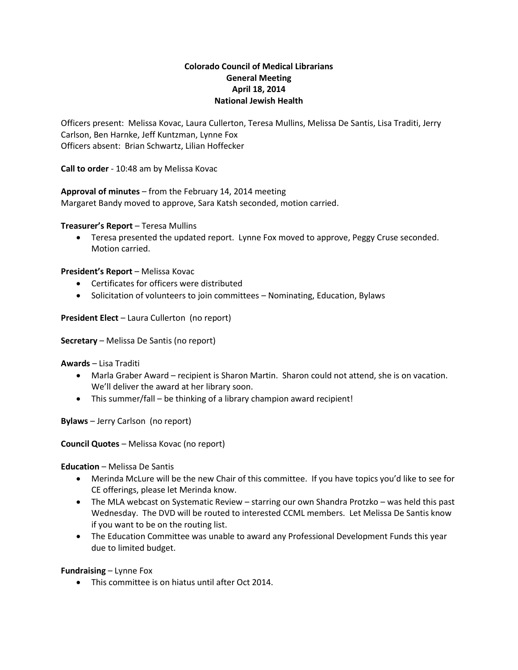# **Colorado Council of Medical Librarians General Meeting April 18, 2014 National Jewish Health**

Officers present: Melissa Kovac, Laura Cullerton, Teresa Mullins, Melissa De Santis, Lisa Traditi, Jerry Carlson, Ben Harnke, Jeff Kuntzman, Lynne Fox Officers absent: Brian Schwartz, Lilian Hoffecker

**Call to order** - 10:48 am by Melissa Kovac

**Approval of minutes** – from the February 14, 2014 meeting Margaret Bandy moved to approve, Sara Katsh seconded, motion carried.

**Treasurer's Report** – Teresa Mullins

 Teresa presented the updated report. Lynne Fox moved to approve, Peggy Cruse seconded. Motion carried.

**President's Report** – Melissa Kovac

- Certificates for officers were distributed
- Solicitation of volunteers to join committees Nominating, Education, Bylaws

**President Elect** – Laura Cullerton (no report)

**Secretary** – Melissa De Santis (no report)

**Awards** – Lisa Traditi

- Marla Graber Award recipient is Sharon Martin. Sharon could not attend, she is on vacation. We'll deliver the award at her library soon.
- This summer/fall be thinking of a library champion award recipient!

**Bylaws** – Jerry Carlson (no report)

**Council Quotes** – Melissa Kovac (no report)

**Education** – Melissa De Santis

- Merinda McLure will be the new Chair of this committee. If you have topics you'd like to see for CE offerings, please let Merinda know.
- The MLA webcast on Systematic Review starring our own Shandra Protzko was held this past Wednesday. The DVD will be routed to interested CCML members. Let Melissa De Santis know if you want to be on the routing list.
- The Education Committee was unable to award any Professional Development Funds this year due to limited budget.

**Fundraising** – Lynne Fox

This committee is on hiatus until after Oct 2014.